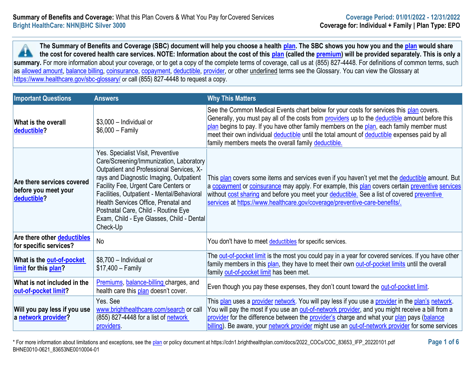**The Summary of Benefits and Coverage (SBC) document will help you choose a health [plan.](https://www.healthcare.gov/sbc-glossary/#plan) The SBC shows you how you and the [plan](https://www.healthcare.gov/sbc-glossary/#plan) would share the cost for covered health care services. NOTE: Information about the cost of this [plan](https://www.healthcare.gov/sbc-glossary/#plan) (called the [premium\)](https://www.healthcare.gov/sbc-glossary/#premium) will be provided separately. This is only a A** summary. For more information about your coverage, or to get a copy of the complete terms of coverage, call us at (855) 827-4448. For definitions of common terms, such as [allowed amount,](https://www.healthcare.gov/sbc-glossary/#allowed-amount) [balance billing,](https://www.healthcare.gov/sbc-glossary/#balance-billing) [coinsurance,](https://www.healthcare.gov/sbc-glossary/#coinsurance) [copayment,](https://www.healthcare.gov/sbc-glossary/#copayment) [deductible,](https://www.healthcare.gov/sbc-glossary/#deductible) [provider,](https://www.healthcare.gov/sbc-glossary/#provider) or other underlined terms see the Glossary. You can view the Glossary at <https://www.healthcare.gov/sbc-glossary/> or call (855) 827-4448 to request a copy.

| <b>Important Questions</b>                                               | <b>Answers</b>                                                                                                                                                                                                                                                                                                                                                                                    | <b>Why This Matters</b>                                                                                                                                                                                                                                                                                                                                                                                                                          |
|--------------------------------------------------------------------------|---------------------------------------------------------------------------------------------------------------------------------------------------------------------------------------------------------------------------------------------------------------------------------------------------------------------------------------------------------------------------------------------------|--------------------------------------------------------------------------------------------------------------------------------------------------------------------------------------------------------------------------------------------------------------------------------------------------------------------------------------------------------------------------------------------------------------------------------------------------|
| <b>What is the overall</b><br>deductible?                                | $$3,000$ - Individual or<br>$$6,000 - Family$                                                                                                                                                                                                                                                                                                                                                     | See the Common Medical Events chart below for your costs for services this plan covers.<br>Generally, you must pay all of the costs from providers up to the deductible amount before this<br>plan begins to pay. If you have other family members on the plan, each family member must<br>meet their own individual deductible until the total amount of deductible expenses paid by all<br>family members meets the overall family deductible. |
| <b>Are there services covered</b><br>before you meet your<br>deductible? | Yes. Specialist Visit, Preventive<br>Care/Screening/Immunization, Laboratory<br>Outpatient and Professional Services, X-<br>rays and Diagnostic Imaging, Outpatient<br>Facility Fee, Urgent Care Centers or<br>Facilities, Outpatient - Mental/Behavioral<br>Health Services Office, Prenatal and<br>Postnatal Care, Child - Routine Eye<br>Exam, Child - Eye Glasses, Child - Dental<br>Check-Up | This plan covers some items and services even if you haven't yet met the <i>deductible</i> amount. But<br>a copayment or coinsurance may apply. For example, this plan covers certain preventive services<br>without cost sharing and before you meet your deductible. See a list of covered preventive<br>services at https://www.healthcare.gov/coverage/preventive-care-benefits/.                                                            |
| Are there other deductibles<br>for specific services?                    | <b>No</b>                                                                                                                                                                                                                                                                                                                                                                                         | You don't have to meet deductibles for specific services.                                                                                                                                                                                                                                                                                                                                                                                        |
| What is the <b>out-of-pocket</b><br>limit for this plan?                 | \$8,700 - Individual or<br>$$17,400 - Family$                                                                                                                                                                                                                                                                                                                                                     | The <b>out-of-pocket limit</b> is the most you could pay in a year for covered services. If you have other<br>family members in this plan, they have to meet their own out-of-pocket limits until the overall<br>family out-of-pocket limit has been met.                                                                                                                                                                                        |
| What is not included in the<br>out-of-pocket limit?                      | Premiums, balance-billing charges, and<br>health care this plan doesn't cover.                                                                                                                                                                                                                                                                                                                    | Even though you pay these expenses, they don't count toward the out-of-pocket limit.                                                                                                                                                                                                                                                                                                                                                             |
| Will you pay less if you use<br>a network provider?                      | Yes, See<br>www.brighthealthcare.com/search or call<br>(855) 827-4448 for a list of network<br>providers.                                                                                                                                                                                                                                                                                         | This plan uses a provider network. You will pay less if you use a provider in the plan's network.<br>You will pay the most if you use an <b>out-of-network provider</b> , and you might receive a bill from a<br>provider for the difference between the provider's charge and what your plan pays (balance<br>billing). Be aware, your network provider might use an out-of-network provider for some services                                  |

\* For more information about limitations and exceptions, see the [plan](https://www.healthcare.gov/sbc-glossary/#plan) or policy document at https://cdn1.brighthealthplan.com/docs/2022\_COCs/COC\_83653\_IFP\_20220101.pdf **Page 1 of 6** BHNE0010-0621\_83653NE0010004-01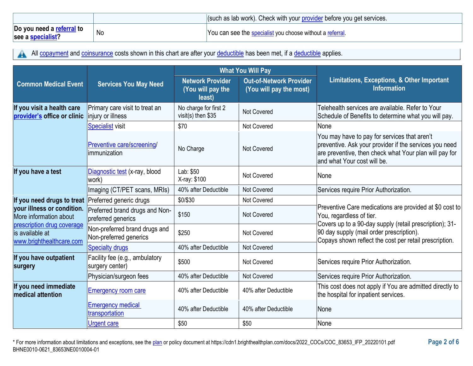|                                                |    | s (such as lab work). Check with your provider before you get services. |
|------------------------------------------------|----|-------------------------------------------------------------------------|
| Do you need a referral to<br>see a specialist? | No | You can see the specialist you choose without a referral.               |

All [copayment](https://www.healthcare.gov/sbc-glossary/#copayment) and [coinsurance](https://www.healthcare.gov/sbc-glossary/#coinsurance) costs shown in this chart are after your [deductible](https://www.healthcare.gov/sbc-glossary/#deductible) has been met, if a deductible applies. A

|                                                                           |                                                         | <b>What You Will Pay</b>                               |                                                           |                                                                                                                                                                                                 |  |
|---------------------------------------------------------------------------|---------------------------------------------------------|--------------------------------------------------------|-----------------------------------------------------------|-------------------------------------------------------------------------------------------------------------------------------------------------------------------------------------------------|--|
| <b>Common Medical Event</b>                                               | <b>Services You May Need</b>                            | <b>Network Provider</b><br>(You will pay the<br>least) | <b>Out-of-Network Provider</b><br>(You will pay the most) | Limitations, Exceptions, & Other Important<br><b>Information</b>                                                                                                                                |  |
| If you visit a health care<br>provider's office or clinic                 | Primary care visit to treat an<br>injury or illness     | No charge for first 2<br>visit(s) then $$35$           | <b>Not Covered</b>                                        | Telehealth services are available. Refer to Your<br>Schedule of Benefits to determine what you will pay.                                                                                        |  |
|                                                                           | Specialist visit                                        | \$70                                                   | Not Covered                                               | None                                                                                                                                                                                            |  |
|                                                                           | Preventive care/screening/<br>immunization              | No Charge                                              | <b>Not Covered</b>                                        | You may have to pay for services that aren't<br>preventive. Ask your provider if the services you need<br>are preventive, then check what Your plan will pay for<br>and what Your cost will be. |  |
| If you have a test                                                        | Diagnostic test (x-ray, blood<br>work)                  | Lab: \$50<br>X-ray: \$100                              | Not Covered                                               | None                                                                                                                                                                                            |  |
|                                                                           | Imaging (CT/PET scans, MRIs)                            | 40% after Deductible                                   | Not Covered                                               | Services require Prior Authorization.                                                                                                                                                           |  |
| If you need drugs to treat                                                | Preferred generic drugs                                 | \$0/\$30                                               | Not Covered                                               |                                                                                                                                                                                                 |  |
| your illness or condition.<br>More information about                      | Preferred brand drugs and Non-<br>preferred generics    | \$150                                                  | <b>Not Covered</b>                                        | Preventive Care medications are provided at \$0 cost to<br>You, regardless of tier.                                                                                                             |  |
| prescription drug coverage<br>is available at<br>www.brighthealthcare.com | Non-preferred brand drugs and<br>Non-preferred generics | \$250                                                  | <b>Not Covered</b>                                        | Covers up to a 90-day supply (retail prescription); 31-<br>90 day supply (mail order prescription).<br>Copays shown reflect the cost per retail prescription.                                   |  |
|                                                                           | <b>Specialty drugs</b>                                  | 40% after Deductible                                   | <b>Not Covered</b>                                        |                                                                                                                                                                                                 |  |
| If you have outpatient<br>surgery                                         | Facility fee (e.g., ambulatory<br>surgery center)       | \$500                                                  | Not Covered                                               | Services require Prior Authorization.                                                                                                                                                           |  |
|                                                                           | Physician/surgeon fees                                  | 40% after Deductible                                   | Not Covered                                               | Services require Prior Authorization.                                                                                                                                                           |  |
| If you need immediate<br><b>medical attention</b>                         | Emergency room care                                     | 40% after Deductible                                   | 40% after Deductible                                      | This cost does not apply if You are admitted directly to<br>the hospital for inpatient services.                                                                                                |  |
|                                                                           | <b>Emergency medical</b><br>transportation              | 40% after Deductible                                   | 40% after Deductible                                      | None                                                                                                                                                                                            |  |
|                                                                           | <b>Urgent care</b>                                      | \$50                                                   | \$50                                                      | None                                                                                                                                                                                            |  |

\* For more information about limitations and exceptions, see the [plan](https://www.healthcare.gov/sbc-glossary/#plan) or policy document at https://cdn1.brighthealthplan.com/docs/2022\_COCs/COC\_83653\_IFP\_20220101.pdf **Page 2 of 6** BHNE0010-0621\_83653NE0010004-01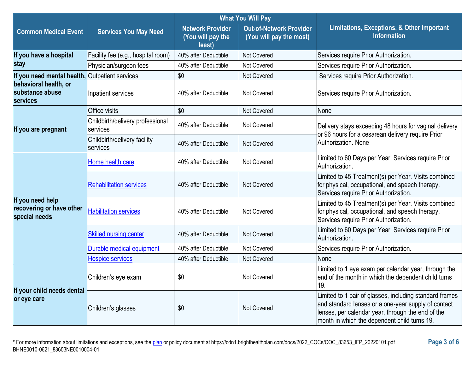|                                                               |                                              | <b>What You Will Pay</b>                               |                                                           |                                                                                                                                                                                                                     |  |
|---------------------------------------------------------------|----------------------------------------------|--------------------------------------------------------|-----------------------------------------------------------|---------------------------------------------------------------------------------------------------------------------------------------------------------------------------------------------------------------------|--|
| <b>Common Medical Event</b>                                   | <b>Services You May Need</b>                 | <b>Network Provider</b><br>(You will pay the<br>least) | <b>Out-of-Network Provider</b><br>(You will pay the most) | Limitations, Exceptions, & Other Important<br><b>Information</b>                                                                                                                                                    |  |
| If you have a hospital                                        | Facility fee (e.g., hospital room)           | 40% after Deductible                                   | Not Covered                                               | Services require Prior Authorization.                                                                                                                                                                               |  |
| stay                                                          | Physician/surgeon fees                       | 40% after Deductible                                   | Not Covered                                               | Services require Prior Authorization.                                                                                                                                                                               |  |
| If you need mental health,                                    | <b>Outpatient services</b>                   | \$0                                                    | Not Covered                                               | Services require Prior Authorization.                                                                                                                                                                               |  |
| behavioral health, or<br>substance abuse<br>services          | Inpatient services                           | 40% after Deductible                                   | Not Covered                                               | Services require Prior Authorization.                                                                                                                                                                               |  |
|                                                               | Office visits                                | \$0                                                    | <b>Not Covered</b>                                        | None                                                                                                                                                                                                                |  |
| If you are pregnant                                           | Childbirth/delivery professional<br>services | 40% after Deductible                                   | Not Covered                                               | Delivery stays exceeding 48 hours for vaginal delivery                                                                                                                                                              |  |
|                                                               | Childbirth/delivery facility<br>services     | 40% after Deductible                                   | Not Covered                                               | or 96 hours for a cesarean delivery require Prior<br>Authorization, None                                                                                                                                            |  |
|                                                               | Home health care                             | 40% after Deductible                                   | Not Covered                                               | Limited to 60 Days per Year. Services require Prior<br>Authorization.                                                                                                                                               |  |
| If you need help<br>recovering or have other<br>special needs | <b>Rehabilitation services</b>               | 40% after Deductible                                   | Not Covered                                               | Limited to 45 Treatment(s) per Year. Visits combined<br>for physical, occupational, and speech therapy.<br>Services require Prior Authorization.                                                                    |  |
|                                                               | <b>Habilitation services</b>                 | 40% after Deductible                                   | Not Covered                                               | Limited to 45 Treatment(s) per Year. Visits combined<br>for physical, occupational, and speech therapy.<br>Services require Prior Authorization.                                                                    |  |
|                                                               | <b>Skilled nursing center</b>                | 40% after Deductible                                   | Not Covered                                               | Limited to 60 Days per Year. Services require Prior<br>Authorization.                                                                                                                                               |  |
|                                                               | Durable medical equipment                    | 40% after Deductible                                   | Not Covered                                               | Services require Prior Authorization.                                                                                                                                                                               |  |
|                                                               | <b>Hospice services</b>                      | 40% after Deductible                                   | Not Covered                                               | None                                                                                                                                                                                                                |  |
| If your child needs dental<br>or eye care                     | Children's eye exam                          | \$0                                                    | Not Covered                                               | Limited to 1 eye exam per calendar year, through the<br>end of the month in which the dependent child turns<br>19.                                                                                                  |  |
|                                                               | Children's glasses                           | \$0                                                    | Not Covered                                               | Limited to 1 pair of glasses, including standard frames<br>and standard lenses or a one-year supply of contact<br>lenses, per calendar year, through the end of the<br>month in which the dependent child turns 19. |  |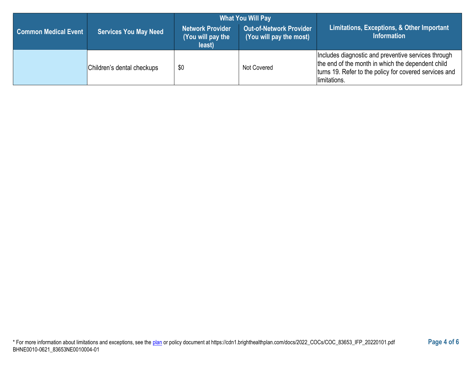|                             |                              | <b>What You Will Pay</b>                        |                                                           |                                                                                                                                                                                    |  |
|-----------------------------|------------------------------|-------------------------------------------------|-----------------------------------------------------------|------------------------------------------------------------------------------------------------------------------------------------------------------------------------------------|--|
| <b>Common Medical Event</b> | <b>Services You May Need</b> | Network Provider<br>(You will pay the<br>least) | <b>Out-of-Network Provider</b><br>(You will pay the most) | Limitations, Exceptions, & Other Important<br><b>Information</b>                                                                                                                   |  |
|                             | Children's dental checkups   | \$0                                             | Not Covered                                               | Includes diagnostic and preventive services through<br>the end of the month in which the dependent child<br>turns 19. Refer to the policy for covered services and<br>limitations. |  |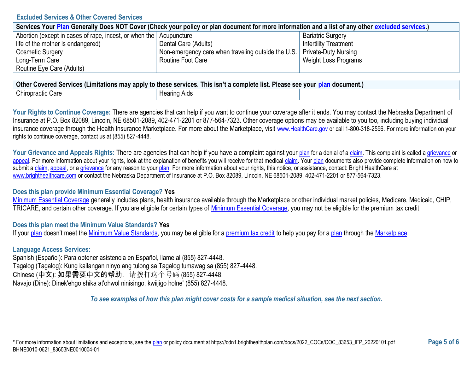### **Excluded Services & Other Covered Services**

| Services Your Plan Generally Does NOT Cover (Check your policy or plan document for more information and a list of any other excluded services.) |                                                                           |                              |  |  |
|--------------------------------------------------------------------------------------------------------------------------------------------------|---------------------------------------------------------------------------|------------------------------|--|--|
| Abortion (except in cases of rape, incest, or when the Acupuncture                                                                               |                                                                           | <b>Bariatric Surgery</b>     |  |  |
| life of the mother is endangered)                                                                                                                | Dental Care (Adults)                                                      | <b>Infertility Treatment</b> |  |  |
| <b>Cosmetic Surgery</b>                                                                                                                          | Non-emergency care when traveling outside the U.S.   Private-Duty Nursing |                              |  |  |
| Long-Term Care                                                                                                                                   | Routine Foot Care                                                         | Weight Loss Programs         |  |  |
| Routine Eye Care (Adults)                                                                                                                        |                                                                           |                              |  |  |

| <b>Other</b><br>. .<br>. This isn't a complete list. I<br>∩ Covered Services (Limitations may apply to these services. ⊺<br><b>Please see vour</b><br>n document. |              |  |  |
|-------------------------------------------------------------------------------------------------------------------------------------------------------------------|--------------|--|--|
| <b>Chiropractic Care</b>                                                                                                                                          | Hearing Aids |  |  |

Your Rights to Continue Coverage: There are agencies that can help if you want to continue your coverage after it ends. You may contact the Nebraska Department of Insurance at P.O. Box 82089, Lincoln, NE 68501-2089, 402-471-2201 or 877-564-7323. Other coverage options may be available to you too, including buying individual insurance coverage through the Health Insurance Marketplace. For more about the Marketplace, visit [www.HealthCare.gov](https://www.healthcare.gov/) or call 1-800-318-2596. For more information on your rights to continue coverage, contact us at (855) 827-4448.

Your Grievance and Appeals Rights: There are agencies that can help if you have a complaint against your [plan](https://www.healthcare.gov/sbc-glossary/#plan) for a denial of [a claim.](https://www.healthcare.gov/sbc-glossary/#claim) This complaint is called a [grievance](https://www.healthcare.gov/sbc-glossary/#grievance) or [appeal.](https://www.healthcare.gov/sbc-glossary/#appeal) For more information about your rights, look at the explanation of benefits you will receive for that medical [claim.](https://www.healthcare.gov/sbc-glossary/#claim) You[r plan](https://www.healthcare.gov/sbc-glossary/#plan) documents also provide complete information on how to submit a [claim,](https://www.healthcare.gov/sbc-glossary/#claim) [appeal,](https://www.healthcare.gov/sbc-glossary/#appeal) or [a grievance](https://www.healthcare.gov/sbc-glossary/#grievance) for any reason to your [plan.](https://www.healthcare.gov/sbc-glossary/#plan) For more information about your rights, this notice, or assistance, contact: Bright HealthCare at [www.brighthealthcare.com](https://www.brighthealthcare.com/) or contact the Nebraska Department of Insurance at P.O. Box 82089, Lincoln, NE 68501-2089, 402-471-2201 or 877-564-7323.

## **Does this plan provide Minimum Essential Coverage? Yes**

[Minimum Essential Coverage](https://www.healthcare.gov/sbc-glossary/#minimum-essential-coverage) generally includes plans, health insurance available through the Marketplace or other individual market policies, Medicare, Medicaid, CHIP, TRICARE, and certain other coverage. If you are eligible for certain types of [Minimum Essential Coverage,](https://www.healthcare.gov/sbc-glossary/#minimum-essential-coverage) you may not be eligible for the premium tax credit.

## **Does this plan meet the Minimum Value Standards? Yes**

If you[r plan](https://www.healthcare.gov/sbc-glossary/#plan) doesn't meet the [Minimum Value Standards,](https://www.healthcare.gov/sbc-glossary/#minimum-value-standard) you may be eligible for a [premium tax credit](https://www.healthcare.gov/sbc-glossary/#premium-tax-credits) to help you pay for a [plan](https://www.healthcare.gov/sbc-glossary/#plan) through the [Marketplace.](https://www.healthcare.gov/sbc-glossary/#marketplace)

### **Language Access Services:**

Spanish (Español): Para obtener asistencia en Español, llame al (855) 827-4448. Tagalog (Tagalog): Kung kailangan ninyo ang tulong sa Tagalog tumawag sa (855) 827-4448. Chinese (中文): 如果需要中文的帮助,请拨打这个号码 (855) 827-4448. Navajo (Dine): Dinek'ehgo shika at'ohwol ninisingo, kwiijigo holne' (855) 827-4448.

*To see examples of how this plan might cover costs for a sample medical situation, see the next section.*